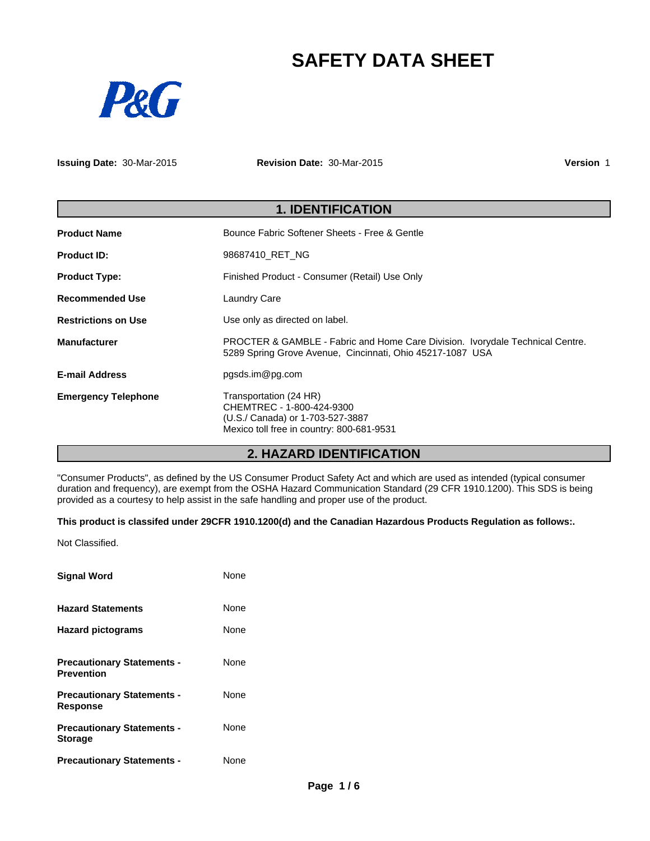# **SAFETY DATA SHEET**



**Issuing Date:** 30-Mar-2015

**Revision Date:** 30-Mar-2015

**Version** 1

| <b>1. IDENTIFICATION</b>   |                                                                                                                                            |  |
|----------------------------|--------------------------------------------------------------------------------------------------------------------------------------------|--|
| <b>Product Name</b>        | Bounce Fabric Softener Sheets - Free & Gentle                                                                                              |  |
| <b>Product ID:</b>         | 98687410 RET NG                                                                                                                            |  |
| <b>Product Type:</b>       | Finished Product - Consumer (Retail) Use Only                                                                                              |  |
| <b>Recommended Use</b>     | <b>Laundry Care</b>                                                                                                                        |  |
| <b>Restrictions on Use</b> | Use only as directed on label.                                                                                                             |  |
| <b>Manufacturer</b>        | PROCTER & GAMBLE - Fabric and Home Care Division. Ivorydale Technical Centre.<br>5289 Spring Grove Avenue, Cincinnati, Ohio 45217-1087 USA |  |
| <b>E-mail Address</b>      | pgsds.im@pg.com                                                                                                                            |  |
| <b>Emergency Telephone</b> | Transportation (24 HR)<br>CHEMTREC - 1-800-424-9300<br>(U.S./ Canada) or 1-703-527-3887<br>Mexico toll free in country: 800-681-9531       |  |

# **2. HAZARD IDENTIFICATION**

"Consumer Products", as defined by the US Consumer Product Safety Act and which are used as intended (typical consumer duration and frequency), are exempt from the OSHA Hazard Communication Standard (29 CFR 1910.1200). This SDS is being provided as a courtesy to help assist in the safe handling and proper use of the product.

### **This product is classifed under 29CFR 1910.1200(d) and the Canadian Hazardous Products Regulation as follows:.**

Not Classified.

| <b>Signal Word</b>                                     | None |
|--------------------------------------------------------|------|
| <b>Hazard Statements</b>                               | None |
| <b>Hazard pictograms</b>                               | None |
| <b>Precautionary Statements -</b><br><b>Prevention</b> | None |
| <b>Precautionary Statements -</b><br><b>Response</b>   | None |
| <b>Precautionary Statements -</b><br><b>Storage</b>    | None |
| <b>Precautionary Statements -</b>                      | None |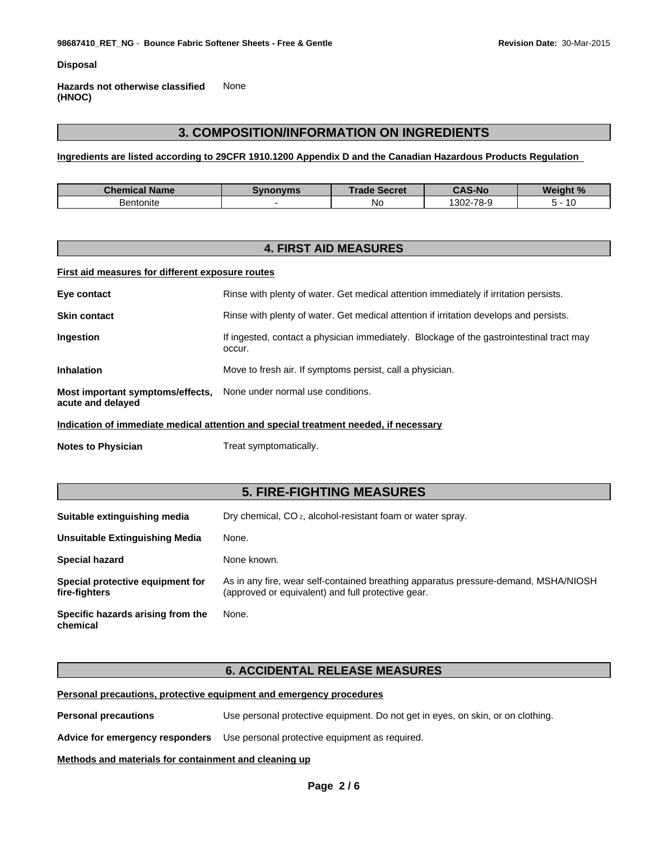**Disposal**

**Hazards not otherwise classified (HNOC)** None

# **3. COMPOSITION/INFORMATION ON INGREDIENTS**

**Ingredients are listed according to 29CFR 1910.1200 Appendix D and the Canadian Hazardous Products Regulation** 

| <b>Chemical Name</b> | Svnonvms | <b>Trade</b><br><b>Secret</b><br><b>POCLEL</b> | <b>CAS-No</b>              | Weight %<br>70 |
|----------------------|----------|------------------------------------------------|----------------------------|----------------|
| Bentonite            |          | .No                                            | $-78-9$<br>$\sim$<br>.30Z- |                |

# **4. FIRST AID MEASURES**

### **First aid measures for different exposure routes**

| Eye contact                                                                          | Rinse with plenty of water. Get medical attention immediately if irritation persists.              |  |  |  |
|--------------------------------------------------------------------------------------|----------------------------------------------------------------------------------------------------|--|--|--|
| <b>Skin contact</b>                                                                  | Rinse with plenty of water. Get medical attention if irritation develops and persists.             |  |  |  |
| <b>Ingestion</b>                                                                     | If ingested, contact a physician immediately. Blockage of the gastrointestinal tract may<br>occur. |  |  |  |
| <b>Inhalation</b>                                                                    | Move to fresh air. If symptoms persist, call a physician.                                          |  |  |  |
| Most important symptoms/effects,<br>acute and delayed                                | None under normal use conditions.                                                                  |  |  |  |
| Indication of immediate medical attention and special treatment needed, if necessary |                                                                                                    |  |  |  |

**Notes to Physician** Treat symptomatically.

# **5. FIRE-FIGHTING MEASURES**

| Suitable extinguishing media                      | Dry chemical, CO <sub>2</sub> , alcohol-resistant foam or water spray.                                                                    |
|---------------------------------------------------|-------------------------------------------------------------------------------------------------------------------------------------------|
| Unsuitable Extinguishing Media                    | None.                                                                                                                                     |
| <b>Special hazard</b>                             | None known.                                                                                                                               |
| Special protective equipment for<br>fire-fighters | As in any fire, wear self-contained breathing apparatus pressure-demand, MSHA/NIOSH<br>(approved or equivalent) and full protective gear. |
| Specific hazards arising from the<br>chemical     | None.                                                                                                                                     |

### **6. ACCIDENTAL RELEASE MEASURES**

### **Personal precautions, protective equipment and emergency procedures**

**Personal precautions** Use personal protective equipment. Do not get in eyes, on skin, or on clothing.

**Advice for emergency responders** Use personal protective equipment as required.

#### **Methods and materials for containment and cleaning up**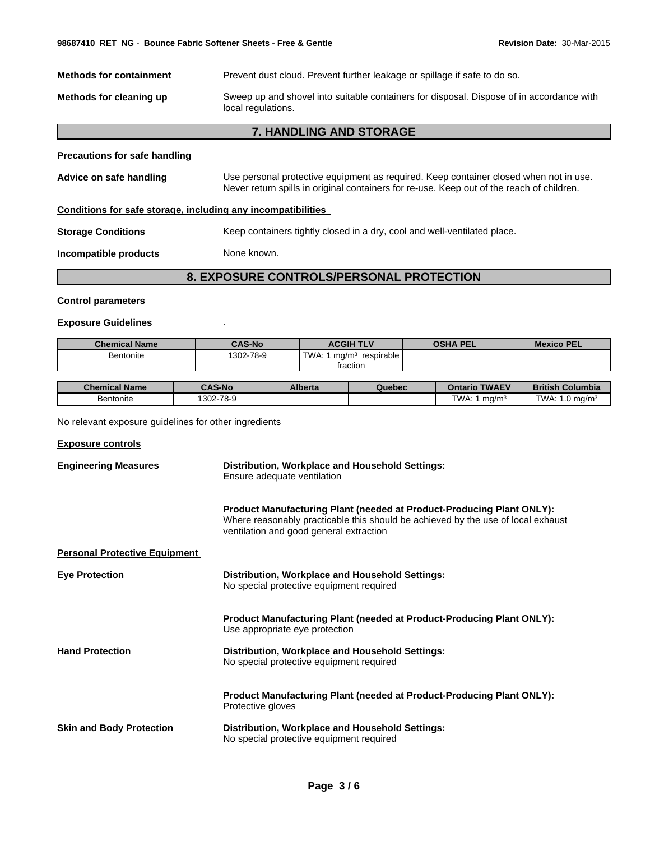| <b>Methods for containment</b>                               | Prevent dust cloud. Prevent further leakage or spillage if safe to do so.                                                                                                          |  |
|--------------------------------------------------------------|------------------------------------------------------------------------------------------------------------------------------------------------------------------------------------|--|
| Methods for cleaning up                                      | Sweep up and shovel into suitable containers for disposal. Dispose of in accordance with<br>local regulations.                                                                     |  |
|                                                              | 7. HANDLING AND STORAGE                                                                                                                                                            |  |
| <b>Precautions for safe handling</b>                         |                                                                                                                                                                                    |  |
| Advice on safe handling                                      | Use personal protective equipment as required. Keep container closed when not in use.<br>Never return spills in original containers for re-use. Keep out of the reach of children. |  |
| Conditions for safe storage, including any incompatibilities |                                                                                                                                                                                    |  |
| <b>Storage Conditions</b>                                    | Keep containers tightly closed in a dry, cool and well-ventilated place.                                                                                                           |  |
| Incompatible products                                        | None known.                                                                                                                                                                        |  |
|                                                              | 8. EXPOSURE CONTROLS/PERSONAL PROTECTION                                                                                                                                           |  |
|                                                              |                                                                                                                                                                                    |  |

### **Control parameters**

### **Exposure Guidelines** .

| <b>Chemical Name</b> | <b>CAS-No</b> | <b>ACGIH TLV</b>              | OSHA PEL | <b>Mexico PEL</b> |
|----------------------|---------------|-------------------------------|----------|-------------------|
| <b>Bentonite</b>     | 1302-78-9     | TWA:<br>respirable<br>. ma/m° |          |                   |
|                      |               | fraction                      |          |                   |

| <b>Chemical Name</b> | <b>CAS-No</b> | <b>Alberta</b> | Quebec | <b>TWAEV</b><br>Ontario   | Columbia<br><b>British</b>                     |
|----------------------|---------------|----------------|--------|---------------------------|------------------------------------------------|
| Bentonite            | 1302-78-9     |                |        | TWA:<br>ma/m <sup>3</sup> | TWA.<br>$10 \text{ ma/m}^3$<br>$\cdot$ $\cdot$ |

No relevant exposure guidelines for other ingredients

### **Exposure controls**

| <b>Engineering Measures</b>          | Distribution, Workplace and Household Settings:<br>Ensure adequate ventilation                                                                                                                              |  |  |
|--------------------------------------|-------------------------------------------------------------------------------------------------------------------------------------------------------------------------------------------------------------|--|--|
|                                      | <b>Product Manufacturing Plant (needed at Product-Producing Plant ONLY):</b><br>Where reasonably practicable this should be achieved by the use of local exhaust<br>ventilation and good general extraction |  |  |
| <b>Personal Protective Equipment</b> |                                                                                                                                                                                                             |  |  |
| <b>Eye Protection</b>                | Distribution, Workplace and Household Settings:<br>No special protective equipment required                                                                                                                 |  |  |
|                                      | Product Manufacturing Plant (needed at Product-Producing Plant ONLY):<br>Use appropriate eye protection                                                                                                     |  |  |
| <b>Hand Protection</b>               | Distribution, Workplace and Household Settings:<br>No special protective equipment required                                                                                                                 |  |  |
|                                      | <b>Product Manufacturing Plant (needed at Product-Producing Plant ONLY):</b><br>Protective gloves                                                                                                           |  |  |
| <b>Skin and Body Protection</b>      | Distribution, Workplace and Household Settings:<br>No special protective equipment required                                                                                                                 |  |  |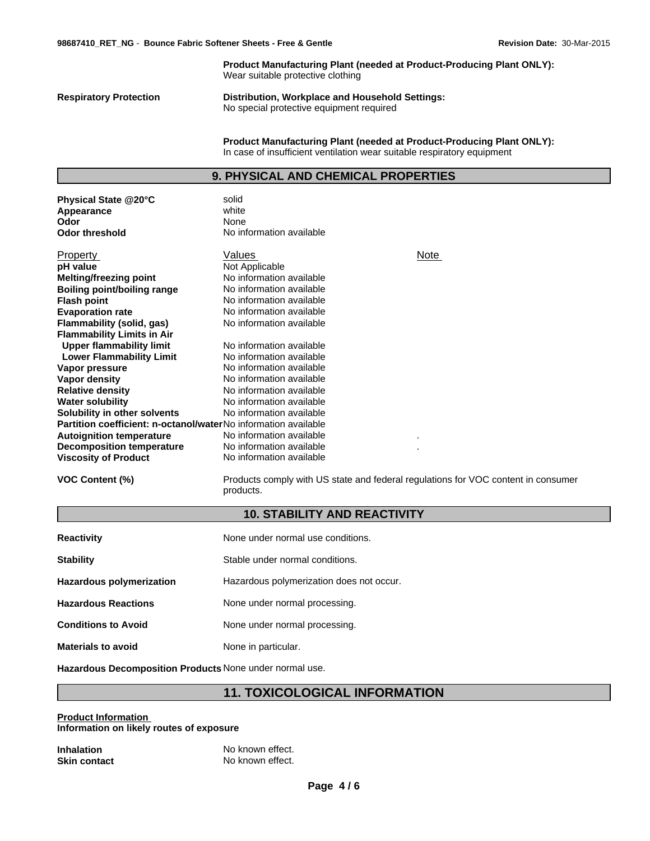**Product Manufacturing Plant (needed at Product-Producing Plant ONLY):** Wear suitable protective clothing **Respiratory Protection Distribution, Workplace and Household Settings:** No special protective equipment required **Product Manufacturing Plant (needed at Product-Producing Plant ONLY):** In case of insufficient ventilation wear suitable respiratory equipment **9. PHYSICAL AND CHEMICAL PROPERTIES Physical State @20°C** solid<br> **Appearance** white

**Appearance** white white white white and white white white white and white white and white white and white and white  $\alpha$  and white  $\alpha$  and white  $\alpha$  and white  $\alpha$  and white  $\alpha$  and white  $\alpha$  and white  $\alpha$  and white **Odor** None None **Odor threshold** No information available **Water solubility Flash point** No information available **Solubility in other solvents** No information available No information available **Partition coefficient: n-octanol/water**No information available **pH value Autoignition temperature Evaporation rate** No information available . **Decomposition temperature** No information available No information available . **Viscosity of Product** No information available Not Applicable **Flammability (solid, gas)** Property No information available **Flammability Limits in Air**<br>**Upper flammability limit** No information available **Melting/freezing point Upper flammability limit** No information available<br> **Lower Flammability Limit** No information available No information available **Lower Flammability Limit** Values **Vapor pressure** No information available **Boiling point/boiling range Vapor density** No information available No information available **Relative density** No information available

**VOC Content (%)** Products comply with US state and federal regulations for VOC content in consumer products.

Note

### **10. STABILITY AND REACTIVITY**

| <b>Reactivity</b>          | None under normal use conditions.        |
|----------------------------|------------------------------------------|
| <b>Stability</b>           | Stable under normal conditions.          |
| Hazardous polymerization   | Hazardous polymerization does not occur. |
| <b>Hazardous Reactions</b> | None under normal processing.            |
| <b>Conditions to Avoid</b> | None under normal processing.            |
| <b>Materials to avoid</b>  | None in particular.                      |

**Hazardous Decomposition Products** None under normal use.

### **11. TOXICOLOGICAL INFORMATION**

**Product Information Information on likely routes of exposure**

| <b>Inhalation</b>   | No known effect. |
|---------------------|------------------|
| <b>Skin contact</b> | No known effect. |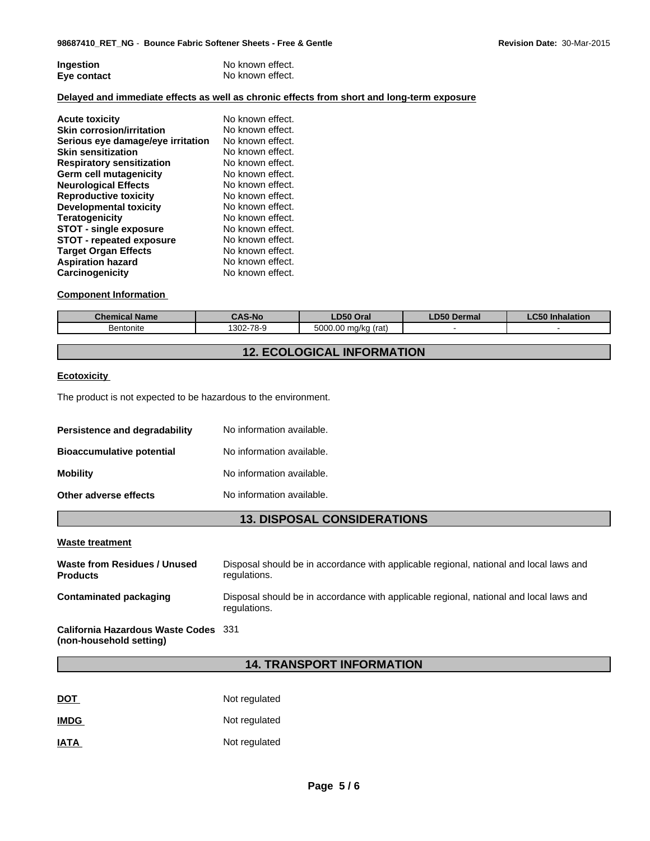| Ingestion   | No known effect. |
|-------------|------------------|
| Eye contact | No known effect. |

### **Delayed and immediate effects as well as chronic effects from short and long-term exposure**

| <b>Acute toxicity</b>             | No known effect. |
|-----------------------------------|------------------|
| <b>Skin corrosion/irritation</b>  | No known effect. |
| Serious eye damage/eye irritation | No known effect. |
| <b>Skin sensitization</b>         | No known effect. |
| <b>Respiratory sensitization</b>  | No known effect. |
| <b>Germ cell mutagenicity</b>     | No known effect. |
| <b>Neurological Effects</b>       | No known effect. |
| <b>Reproductive toxicity</b>      | No known effect. |
| Developmental toxicity            | No known effect. |
| <b>Teratogenicity</b>             | No known effect. |
| <b>STOT - single exposure</b>     | No known effect. |
| <b>STOT - repeated exposure</b>   | No known effect. |
| <b>Target Organ Effects</b>       | No known effect. |
| <b>Aspiration hazard</b>          | No known effect. |
| Carcinogenicity                   | No known effect. |

### **Component Information**

| <b>Chemical Name</b> | <b>`AS-No</b> | LD50 Oral                                                        | DEO<br>Dermal<br>- 230 | <b>Inhalation</b> |
|----------------------|---------------|------------------------------------------------------------------|------------------------|-------------------|
| <b>Bentonite</b>     | 1302-78-9     | <b>EOOO</b><br>$\sim$<br>(rat)<br>., ma/k<br>~'<br><b>DU.UUC</b> |                        |                   |

# **12. ECOLOGICAL INFORMATION**

### **Ecotoxicity**

The product is not expected to be hazardous to the environment.

| Persistence and degradability    | No information available. |
|----------------------------------|---------------------------|
| <b>Bioaccumulative potential</b> | No information available. |
| <b>Mobility</b>                  | No information available. |
| Other adverse effects            | No information available. |

# **13. DISPOSAL CONSIDERATIONS**

### **Waste treatment**

| Waste from Residues / Unused<br><b>Products</b>                 | Disposal should be in accordance with applicable regional, national and local laws and<br>regulations. |
|-----------------------------------------------------------------|--------------------------------------------------------------------------------------------------------|
| <b>Contaminated packaging</b>                                   | Disposal should be in accordance with applicable regional, national and local laws and<br>regulations. |
| California Hazardous Waste Codes 331<br>(non-household setting) |                                                                                                        |

# **14. TRANSPORT INFORMATION**

| <u>DOT</u>  | Not regulated |
|-------------|---------------|
| <b>IMDG</b> | Not regulated |
| <b>IATA</b> | Not regulated |